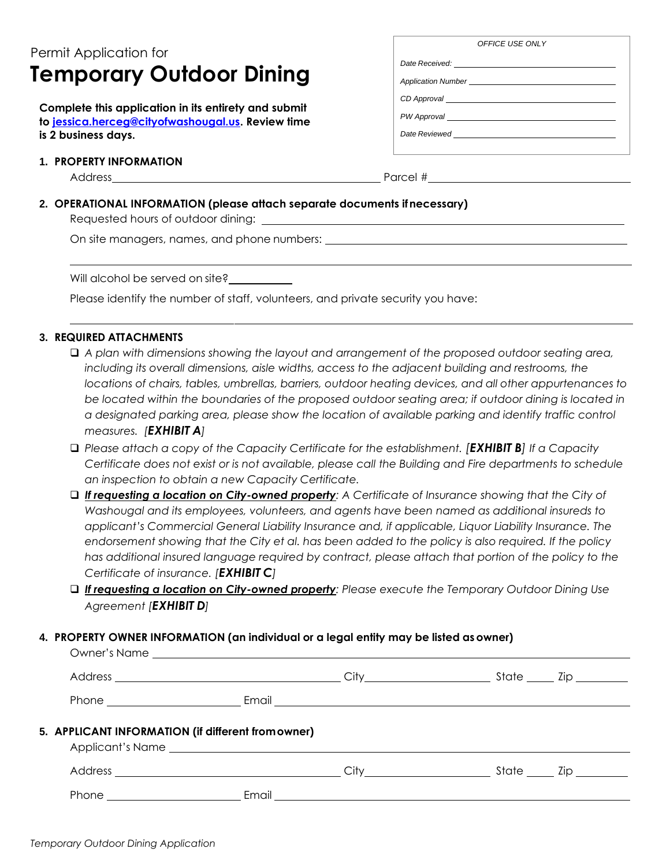# Permit Application for **Temporary Outdoor Dining**

**Complete this application in its entirety and submit to [jessica.herceg@cityofwashougal.us.](mailto:jessica.herceg@cityofwashougal.us) Review time is 2 business days.**

#### **1. PROPERTY INFORMATION**

Address Parcel #

## **2. OPERATIONAL INFORMATION (please attach separate documents ifnecessary)**

Requested hours of outdoor dining:

On site managers, names, and phone numbers:

Will alcohol be served on site?

Please identify the number of staff, volunteers, and private security you have:

#### **3. REQUIRED ATTACHMENTS**

- ❑ *A plan with dimensions showing the layout and arrangement of the proposed outdoor seating area, including its overall dimensions, aisle widths, access to the adjacent building and restrooms, the locations of chairs, tables, umbrellas, barriers, outdoor heating devices, and all other appurtenances to be located within the boundaries of the proposed outdoor seating area; if outdoor dining is located in a designated parking area, please show the location of available parking and identify traffic control measures. [EXHIBIT A]*
- ❑ *Please attach a copy of the Capacity Certificate for the establishment. [EXHIBIT B] If a Capacity Certificate does not exist or is not available, please call the Building and Fire departments to schedule an inspection to obtain a new Capacity Certificate.*
- ❑ *If requesting a location on City-owned property: A Certificate of Insurance showing that the City of Washougal and its employees, volunteers, and agents have been named as additional insureds to applicant's Commercial General Liability Insurance and, if applicable, Liquor Liability Insurance. The endorsement showing that the City et al. has been added to the policy is also required. If the policy*  has additional insured language required by contract, please attach that portion of the policy to the *Certificate of insurance. [EXHIBIT C]*
- ❑ *If requesting a location on City-owned property: Please execute the Temporary Outdoor Dining Use Agreement [EXHIBIT D]*

#### **4. PROPERTY OWNER INFORMATION (an individual or a legal entity may be listed as owner)**

| 5. APPLICANT INFORMATION (if different from owner) |       |  |  |
|----------------------------------------------------|-------|--|--|
|                                                    |       |  |  |
| Phone                                              | Email |  |  |

*OFFICE USE ONLY*

*Date Received: Application Number* 

*CD Approval PW Approval* 

*Date Reviewed*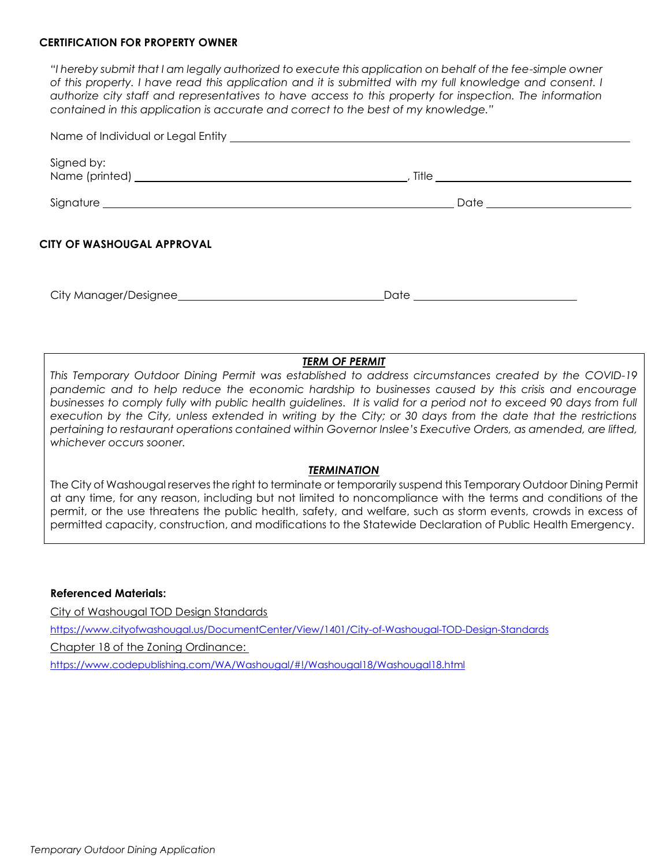#### **CERTIFICATION FOR PROPERTY OWNER**

*"I hereby submit that I am legally authorized to execute this application on behalf of the fee-simple owner of this property. I have read this application and it is submitted with my full knowledge and consent. I authorize city staff and representatives to have access to this property for inspection. The information contained in this application is accurate and correct to the best of my knowledge."*

| Signed by:                                                                                                                                                                                                                     |                                  |  |
|--------------------------------------------------------------------------------------------------------------------------------------------------------------------------------------------------------------------------------|----------------------------------|--|
| Signature experience and the state of the state of the state of the state of the state of the state of the state of the state of the state of the state of the state of the state of the state of the state of the state of th |                                  |  |
| CITY OF WASHOUGAL APPROVAL                                                                                                                                                                                                     |                                  |  |
| City Manager/Designee                                                                                                                                                                                                          | Date <u>____________________</u> |  |

# *TERM OF PERMIT*

*This Temporary Outdoor Dining Permit was established to address circumstances created by the COVID-19 pandemic and to help reduce the economic hardship to businesses caused by this crisis and encourage businesses to comply fully with public health guidelines. It is valid for a period not to exceed 90 days from full execution by the City, unless extended in writing by the City; or 30 days from the date that the restrictions pertaining to restaurant operations contained within Governor Inslee's Executive Orders, as amended, are lifted, whichever occurs sooner.*

#### *TERMINATION*

The City of Washougal reservesthe right to terminate or temporarily suspend this Temporary Outdoor Dining Permit at any time, for any reason, including but not limited to noncompliance with the terms and conditions of the permit, or the use threatens the public health, safety, and welfare, such as storm events, crowds in excess of permitted capacity, construction, and modifications to the Statewide Declaration of Public Health Emergency.

#### **Referenced Materials:**

City of Washougal TOD Design Standards <https://www.cityofwashougal.us/DocumentCenter/View/1401/City-of-Washougal-TOD-Design-Standards> Chapter 18 of the Zoning Ordinance: <https://www.codepublishing.com/WA/Washougal/#!/Washougal18/Washougal18.html>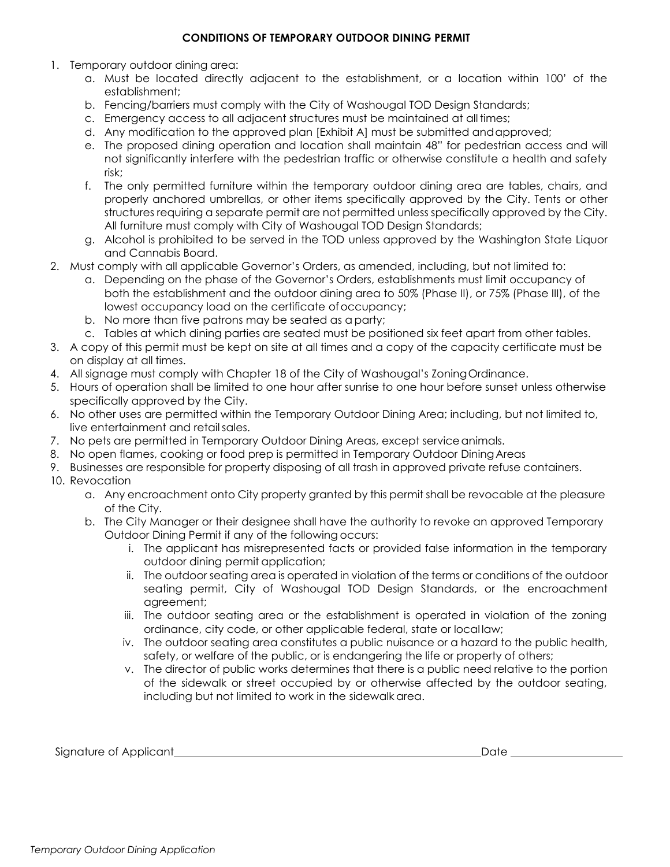#### **CONDITIONS OF TEMPORARY OUTDOOR DINING PERMIT**

- 1. Temporary outdoor dining area:
	- a. Must be located directly adjacent to the establishment, or a location within 100' of the establishment;
	- b. Fencing/barriers must comply with the City of Washougal TOD Design Standards;
	- c. Emergency access to all adjacent structures must be maintained at alltimes;
	- d. Any modification to the approved plan [Exhibit A] must be submitted andapproved;
	- e. The proposed dining operation and location shall maintain 48" for pedestrian access and will not significantly interfere with the pedestrian traffic or otherwise constitute a health and safety risk;
	- f. The only permitted furniture within the temporary outdoor dining area are tables, chairs, and properly anchored umbrellas, or other items specifically approved by the City. Tents or other structures requiring a separate permit are not permitted unless specifically approved by the City. All furniture must comply with City of Washougal TOD Design Standards;
	- g. Alcohol is prohibited to be served in the TOD unless approved by the Washington State Liquor and Cannabis Board.
- 2. Must comply with all applicable Governor's Orders, as amended, including, but not limited to:
	- a. Depending on the phase of the Governor's Orders, establishments must limit occupancy of both the establishment and the outdoor dining area to 50% (Phase II), or 75% (Phase III), of the lowest occupancy load on the certificate ofoccupancy;
	- b. No more than five patrons may be seated as a party;
	- c. Tables at which dining parties are seated must be positioned six feet apart from other tables.
- 3. A copy of this permit must be kept on site at all times and a copy of the capacity certificate must be on display at all times.
- 4. All signage must comply with Chapter 18 of the City of Washougal's ZoningOrdinance.
- 5. Hours of operation shall be limited to one hour after sunrise to one hour before sunset unless otherwise specifically approved by the City.
- 6. No other uses are permitted within the Temporary Outdoor Dining Area; including, but not limited to, live entertainment and retailsales.
- 7. No pets are permitted in Temporary Outdoor Dining Areas, except serviceanimals.
- 8. No open flames, cooking or food prep is permitted in Temporary Outdoor Dining Areas
- 9. Businesses are responsible for property disposing of all trash in approved private refuse containers.
- 10. Revocation
	- a. Any encroachment onto City property granted by this permit shall be revocable at the pleasure of the City.
	- b. The City Manager or their designee shall have the authority to revoke an approved Temporary Outdoor Dining Permit if any of the following occurs:
		- i. The applicant has misrepresented facts or provided false information in the temporary outdoor dining permit application;
		- ii. The outdoor seating area is operated in violation of the terms or conditions of the outdoor seating permit, City of Washougal TOD Design Standards, or the encroachment agreement;
		- iii. The outdoor seating area or the establishment is operated in violation of the zoning ordinance, city code, or other applicable federal, state or local law;
		- iv. The outdoor seating area constitutes a public nuisance or a hazard to the public health, safety, or welfare of the public, or is endangering the life or property of others;
		- v. The director of public works determines that there is a public need relative to the portion of the sidewalk or street occupied by or otherwise affected by the outdoor seating, including but not limited to work in the sidewalk area.

Signature of Applicant Date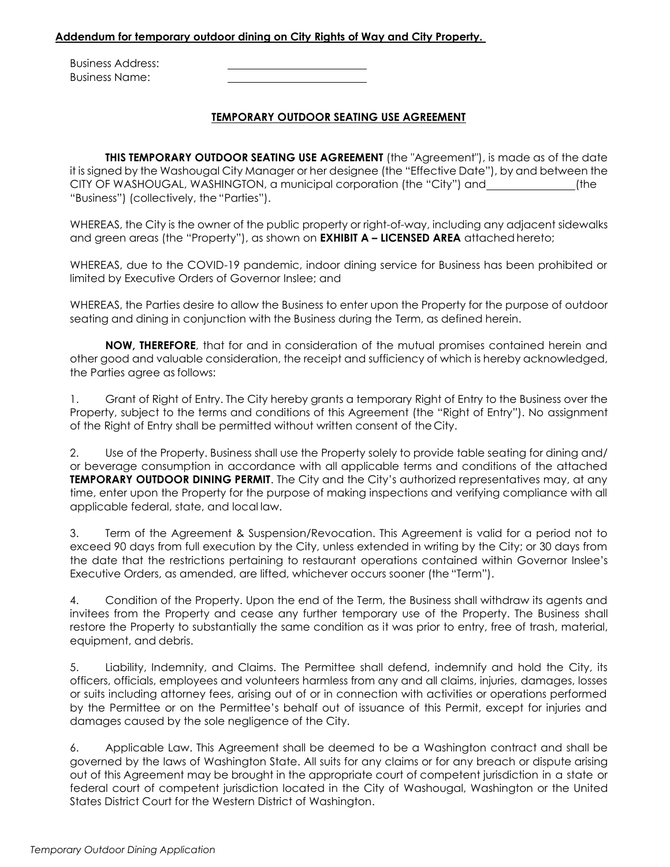#### **Addendum for temporary outdoor dining on City Rights of Way and City Property.**

Business Address: Business Name:

### **TEMPORARY OUTDOOR SEATING USE AGREEMENT**

**THIS TEMPORARY OUTDOOR SEATING USE AGREEMENT** (the "Agreement"), is made as of the date it is signed by the Washougal City Manager or her designee (the "Effective Date"), by and between the CITY OF WASHOUGAL, WASHINGTON, a municipal corporation (the "City") and \_\_\_\_\_\_\_\_\_\_\_\_\_\_\_\_(the "Business") (collectively, the "Parties").

WHEREAS, the City is the owner of the public property or right-of-way, including any adjacent sidewalks and green areas (the "Property"), as shown on **EXHIBIT A – LICENSED AREA** attachedhereto;

WHEREAS, due to the COVID-19 pandemic, indoor dining service for Business has been prohibited or limited by Executive Orders of Governor Inslee; and

WHEREAS, the Parties desire to allow the Business to enter upon the Property for the purpose of outdoor seating and dining in conjunction with the Business during the Term, as defined herein.

**NOW, THEREFORE**, that for and in consideration of the mutual promises contained herein and other good and valuable consideration, the receipt and sufficiency of which is hereby acknowledged, the Parties agree as follows:

1. Grant of Right of Entry. The City hereby grants a temporary Right of Entry to the Business over the Property, subject to the terms and conditions of this Agreement (the "Right of Entry"). No assignment of the Right of Entry shall be permitted without written consent of the City.

2. Use of the Property. Business shall use the Property solely to provide table seating for dining and/ or beverage consumption in accordance with all applicable terms and conditions of the attached **TEMPORARY OUTDOOR DINING PERMIT**. The City and the City's authorized representatives may, at any time, enter upon the Property for the purpose of making inspections and verifying compliance with all applicable federal, state, and local law.

3. Term of the Agreement & Suspension/Revocation. This Agreement is valid for a period not to exceed 90 days from full execution by the City, unless extended in writing by the City; or 30 days from the date that the restrictions pertaining to restaurant operations contained within Governor Inslee's Executive Orders, as amended, are lifted, whichever occurs sooner (the "Term").

4. Condition of the Property. Upon the end of the Term, the Business shall withdraw its agents and invitees from the Property and cease any further temporary use of the Property. The Business shall restore the Property to substantially the same condition as it was prior to entry, free of trash, material, equipment, and debris.

5. Liability, Indemnity, and Claims. The Permittee shall defend, indemnify and hold the City, its officers, officials, employees and volunteers harmless from any and all claims, injuries, damages, losses or suits including attorney fees, arising out of or in connection with activities or operations performed by the Permittee or on the Permittee's behalf out of issuance of this Permit, except for injuries and damages caused by the sole negligence of the City.

6. Applicable Law. This Agreement shall be deemed to be a Washington contract and shall be governed by the laws of Washington State. All suits for any claims or for any breach or dispute arising out of this Agreement may be brought in the appropriate court of competent jurisdiction in a state or federal court of competent jurisdiction located in the City of Washougal, Washington or the United States District Court for the Western District of Washington.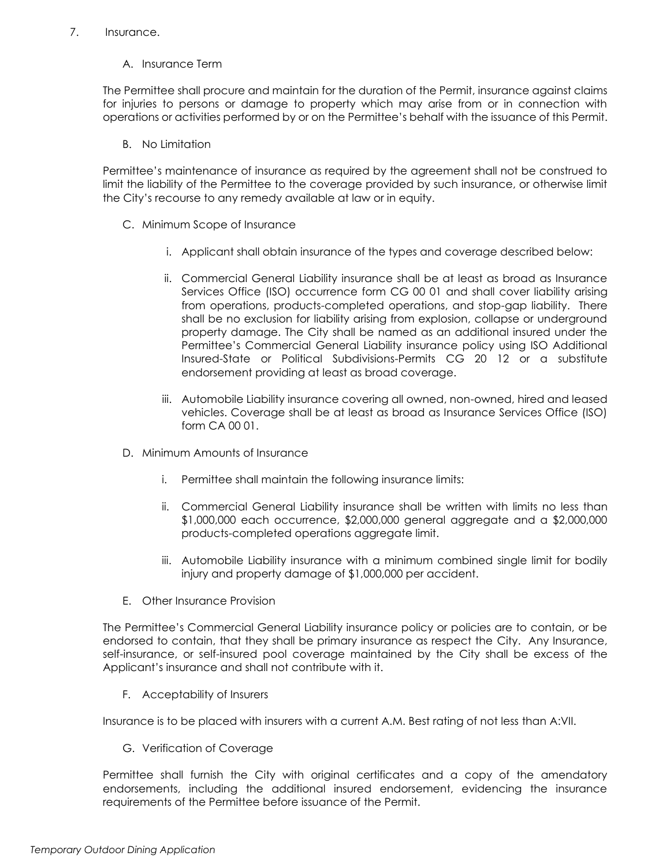#### 7. Insurance.

A. Insurance Term

The Permittee shall procure and maintain for the duration of the Permit, insurance against claims for injuries to persons or damage to property which may arise from or in connection with operations or activities performed by or on the Permittee's behalf with the issuance of this Permit.

B. No Limitation

Permittee's maintenance of insurance as required by the agreement shall not be construed to limit the liability of the Permittee to the coverage provided by such insurance, or otherwise limit the City's recourse to any remedy available at law or in equity.

- C. Minimum Scope of Insurance
	- i. Applicant shall obtain insurance of the types and coverage described below:
	- ii. Commercial General Liability insurance shall be at least as broad as Insurance Services Office (ISO) occurrence form CG 00 01 and shall cover liability arising from operations, products-completed operations, and stop-gap liability. There shall be no exclusion for liability arising from explosion, collapse or underground property damage. The City shall be named as an additional insured under the Permittee's Commercial General Liability insurance policy using ISO Additional Insured-State or Political Subdivisions-Permits CG 20 12 or a substitute endorsement providing at least as broad coverage.
	- iii. Automobile Liability insurance covering all owned, non-owned, hired and leased vehicles. Coverage shall be at least as broad as Insurance Services Office (ISO) form CA 00 01.
- D. Minimum Amounts of Insurance
	- i. Permittee shall maintain the following insurance limits:
	- ii. Commercial General Liability insurance shall be written with limits no less than \$1,000,000 each occurrence, \$2,000,000 general aggregate and a \$2,000,000 products-completed operations aggregate limit.
	- iii. Automobile Liability insurance with a minimum combined single limit for bodily injury and property damage of \$1,000,000 per accident.
- E. Other Insurance Provision

The Permittee's Commercial General Liability insurance policy or policies are to contain, or be endorsed to contain, that they shall be primary insurance as respect the City. Any Insurance, self-insurance, or self-insured pool coverage maintained by the City shall be excess of the Applicant's insurance and shall not contribute with it.

F. Acceptability of Insurers

Insurance is to be placed with insurers with a current A.M. Best rating of not less than A:VII.

G. Verification of Coverage

Permittee shall furnish the City with original certificates and a copy of the amendatory endorsements, including the additional insured endorsement, evidencing the insurance requirements of the Permittee before issuance of the Permit.